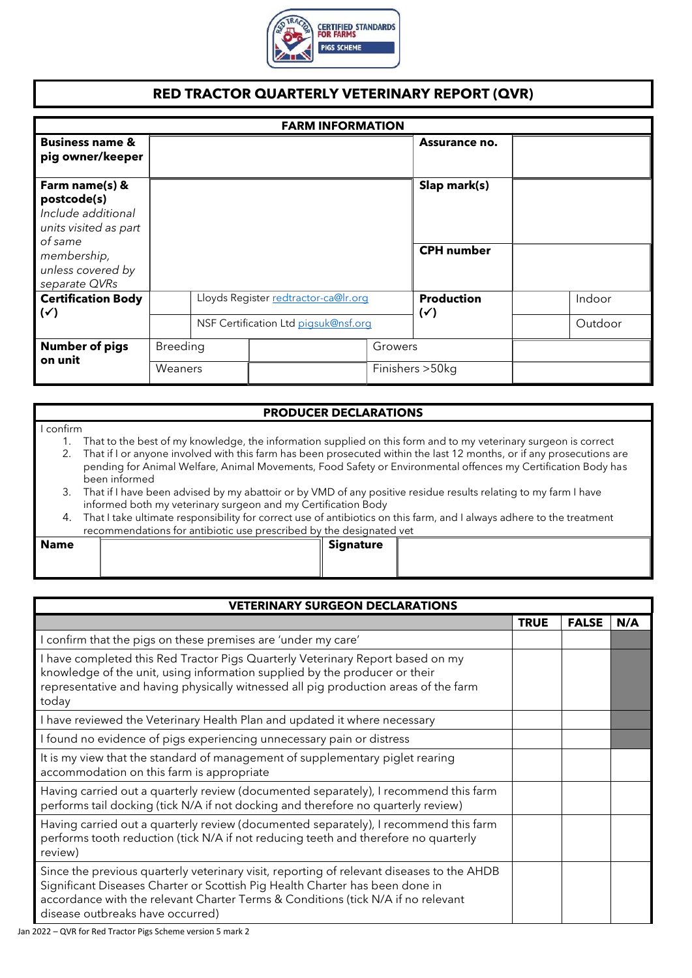

## **RED TRACTOR QUARTERLY VETERINARY REPORT (QVR)**

| <b>FARM INFORMATION</b>                                                                 |                 |                                      |                                     |  |         |
|-----------------------------------------------------------------------------------------|-----------------|--------------------------------------|-------------------------------------|--|---------|
| <b>Business name &amp;</b><br>pig owner/keeper                                          |                 |                                      | Assurance no.                       |  |         |
| Farm name(s) &<br>postcode(s)<br>Include additional<br>units visited as part<br>of same |                 |                                      | Slap mark(s)                        |  |         |
| membership,<br>unless covered by<br>separate QVRs                                       |                 |                                      | <b>CPH</b> number                   |  |         |
| <b>Certification Body</b><br>$(\checkmark)$                                             |                 | Lloyds Register redtractor-ca@Ir.org | <b>Production</b><br>$(\checkmark)$ |  | Indoor  |
|                                                                                         |                 | NSF Certification Ltd pigsuk@nsf.org |                                     |  | Outdoor |
| <b>Number of pigs</b>                                                                   | <b>Breeding</b> | Growers                              |                                     |  |         |
| on unit                                                                                 | Weaners         |                                      | Finishers > 50kg                    |  |         |

## **PRODUCER DECLARATIONS**

## I confirm

- 1. That to the best of my knowledge, the information supplied on this form and to my veterinary surgeon is correct
- 2. That if I or anyone involved with this farm has been prosecuted within the last 12 months, or if any prosecutions are pending for Animal Welfare, Animal Movements, Food Safety or Environmental offences my Certification Body has been informed
- 3. That if I have been advised by my abattoir or by VMD of any positive residue results relating to my farm I have informed both my veterinary surgeon and my Certification Body
- 4. That I take ultimate responsibility for correct use of antibiotics on this farm, and I always adhere to the treatment recommendations for antibiotic use prescribed by the designated vet

| × | . .<br>×<br>۰, |
|---|----------------|
|---|----------------|

**Name Signature**

| <b>VETERINARY SURGEON DECLARATIONS</b>                                                                                                                                                                                                                                                            |             |              |     |  |  |  |
|---------------------------------------------------------------------------------------------------------------------------------------------------------------------------------------------------------------------------------------------------------------------------------------------------|-------------|--------------|-----|--|--|--|
|                                                                                                                                                                                                                                                                                                   | <b>TRUE</b> | <b>FALSE</b> | N/A |  |  |  |
| I confirm that the pigs on these premises are 'under my care'                                                                                                                                                                                                                                     |             |              |     |  |  |  |
| I have completed this Red Tractor Pigs Quarterly Veterinary Report based on my<br>knowledge of the unit, using information supplied by the producer or their<br>representative and having physically witnessed all pig production areas of the farm<br>today                                      |             |              |     |  |  |  |
| I have reviewed the Veterinary Health Plan and updated it where necessary                                                                                                                                                                                                                         |             |              |     |  |  |  |
| I found no evidence of pigs experiencing unnecessary pain or distress                                                                                                                                                                                                                             |             |              |     |  |  |  |
| It is my view that the standard of management of supplementary piglet rearing<br>accommodation on this farm is appropriate                                                                                                                                                                        |             |              |     |  |  |  |
| Having carried out a quarterly review (documented separately), I recommend this farm<br>performs tail docking (tick N/A if not docking and therefore no quarterly review)                                                                                                                         |             |              |     |  |  |  |
| Having carried out a quarterly review (documented separately), I recommend this farm<br>performs tooth reduction (tick N/A if not reducing teeth and therefore no quarterly<br>review)                                                                                                            |             |              |     |  |  |  |
| Since the previous quarterly veterinary visit, reporting of relevant diseases to the AHDB<br>Significant Diseases Charter or Scottish Pig Health Charter has been done in<br>accordance with the relevant Charter Terms & Conditions (tick N/A if no relevant<br>disease outbreaks have occurred) |             |              |     |  |  |  |

Jan 2022 – QVR for Red Tractor Pigs Scheme version 5 mark 2